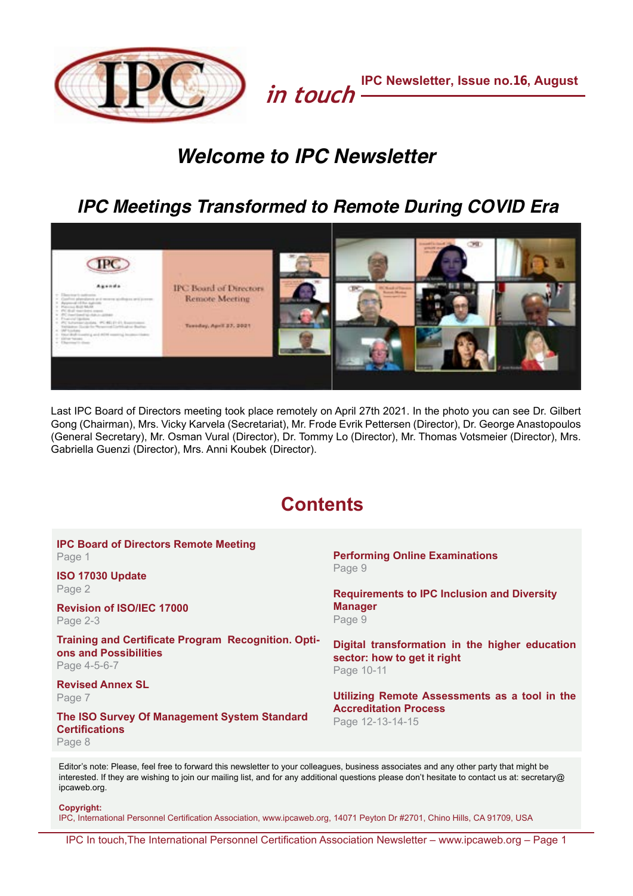

# *Welcome to IPC Newsletter*

# *IPC Meetings Transformed to Remote During COVID Era*



Last IPC Board of Directors meeting took place remotely on April 27th 2021. In the photo you can see Dr. Gilbert Gong (Chairman), Mrs. Vicky Karvela (Secretariat), Mr. Frode Evrik Pettersen (Director), Dr. George Anastopoulos (General Secretary), Mr. Osman Vural (Director), Dr. Tommy Lo (Director), Mr. Thomas Votsmeier (Director), Mrs. Gabriella Guenzi (Director), Mrs. Anni Koubek (Director).

# **Contents**

| <b>IPC Board of Directors Remote Meeting</b><br>Page 1                                              | <b>Performing Online Examinations</b>                                                             |  |
|-----------------------------------------------------------------------------------------------------|---------------------------------------------------------------------------------------------------|--|
| ISO 17030 Update<br>Page 2                                                                          | Page 9<br><b>Requirements to IPC Inclusion and Diversity</b>                                      |  |
| <b>Revision of ISO/IEC 17000</b><br>Page 2-3                                                        | <b>Manager</b><br>Page 9                                                                          |  |
| <b>Training and Certificate Program Recognition. Opti-</b><br>ons and Possibilities<br>Page 4-5-6-7 | Digital transformation in the higher education<br>sector: how to get it right<br>Page 10-11       |  |
| <b>Revised Annex SL</b><br>Page 7                                                                   | Utilizing Remote Assessments as a tool in the<br><b>Accreditation Process</b><br>Page 12-13-14-15 |  |
| The ISO Survey Of Management System Standard<br><b>Certifications</b><br>Page 8                     |                                                                                                   |  |
|                                                                                                     |                                                                                                   |  |

Editor's note: Please, feel free to forward this newsletter to your colleagues, business associates and any other party that might be interested. If they are wishing to join our mailing list, and for any additional questions please don't hesitate to contact us at: secretary@ ipcaweb.org.

**Copyright:**

IPC, International Personnel Certification Association, www.ipcaweb.org, 14071 Peyton Dr #2701, Chino Hills, CA 91709, USA

IPC In touch,The International Personnel Certification Association Newsletter – www.ipcaweb.org – Page 1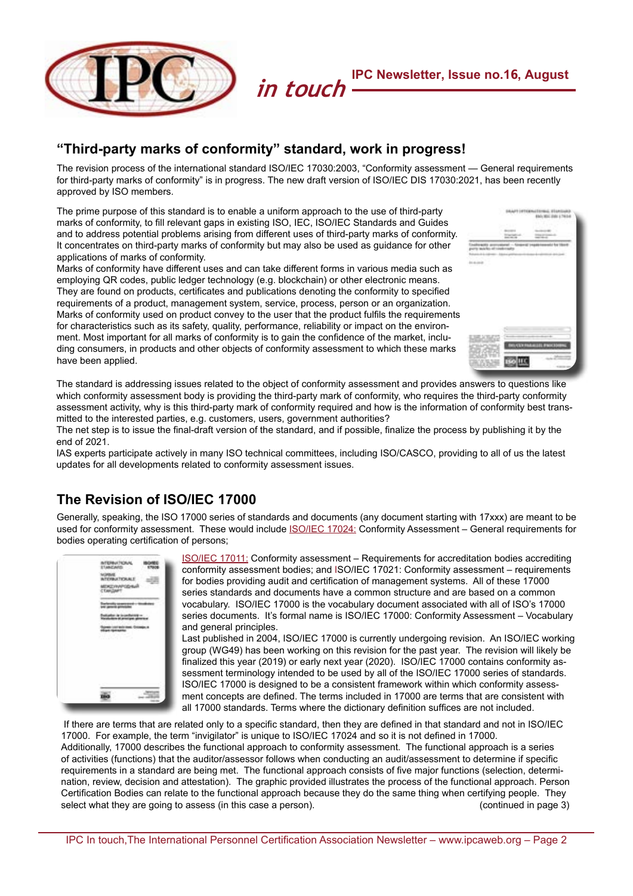

# <span id="page-1-0"></span>**"Third-party marks of conformity" standard, work in progress!**

The revision process of the international standard ISO/IEC 17030:2003, "Conformity assessment — General requirements for third-party marks of conformity" is in progress. The new draft version of ISO/IEC DIS 17030:2021, has been recently approved by ISO members.

The prime purpose of this standard is to enable a uniform approach to the use of third-party marks of conformity, to fill relevant gaps in existing ISO, IEC, ISO/IEC Standards and Guides and to address potential problems arising from different uses of third-party marks of conformity. It concentrates on third-party marks of conformity but may also be used as guidance for other applications of marks of conformity.

Marks of conformity have different uses and can take different forms in various media such as employing QR codes, public ledger technology (e.g. blockchain) or other electronic means. They are found on products, certificates and publications denoting the conformity to specified requirements of a product, management system, service, process, person or an organization. Marks of conformity used on product convey to the user that the product fulfils the requirements for characteristics such as its safety, quality, performance, reliability or impact on the environment. Most important for all marks of conformity is to gain the confidence of the market, including consumers, in products and other objects of conformity assessment to which these marks have been applied.



The standard is addressing issues related to the object of conformity assessment and provides answers to questions like which conformity assessment body is providing the third-party mark of conformity, who requires the third-party conformity assessment activity, why is this third-party mark of conformity required and how is the information of conformity best transmitted to the interested parties, e.g. customers, users, government authorities?

The net step is to issue the final-draft version of the standard, and if possible, finalize the process by publishing it by the end of 2021.

IAS experts participate actively in many ISO technical committees, including ISO/CASCO, providing to all of us the latest updates for all developments related to conformity assessment issues.

# <span id="page-1-1"></span>**The Revision of ISO/IEC 17000**

Generally, speaking, the ISO 17000 series of standards and documents (any document starting with 17xxx) are meant to be used for conformity assessment. These would include **[ISO/IEC 17024:](http://www.proftesting.com/blog/2016/10/06/isoiec-17024-implementation/)** Conformity Assessment – General requirements for bodies operating certification of persons;



[ISO/IEC 17011:](http://www.proftesting.com/blog/2018/01/26/standard-for-accreditation-bodies/) Conformity assessment – Requirements for accreditation bodies accrediting conformity assessment bodies; and ISO/IEC 17021: Conformity assessment – requirements for bodies providing audit and certification of management systems. All of these 17000 series standards and documents have a common structure and are based on a common vocabulary. ISO/IEC 17000 is the vocabulary document associated with all of ISO's 17000 series documents. It's formal name is ISO/IEC 17000: Conformity Assessment – Vocabulary and general principles.

Last published in 2004, ISO/IEC 17000 is currently undergoing revision. An ISO/IEC working group (WG49) has been working on this revision for the past year. The revision will likely be finalized this year (2019) or early next year (2020). ISO/IEC 17000 contains conformity assessment terminology intended to be used by all of the ISO/IEC 17000 series of standards. ISO/IEC 17000 is designed to be a consistent framework within which conformity assessment concepts are defined. The terms included in 17000 are terms that are consistent with all 17000 standards. Terms where the dictionary definition suffices are not included.

 If there are terms that are related only to a specific standard, then they are defined in that standard and not in ISO/IEC 17000. For example, the term "invigilator" is unique to ISO/IEC 17024 and so it is not defined in 17000. Additionally, 17000 describes the functional approach to conformity assessment. The functional approach is a series of activities (functions) that the auditor/assessor follows when conducting an audit/assessment to determine if specific requirements in a standard are being met. The functional approach consists of five major functions (selection, determination, review, decision and attestation). The graphic provided illustrates the process of the functional approach. Person Certification Bodies can relate to the functional approach because they do the same thing when certifying people. They<br>select what they are going to assess (in this case a person). select what they are going to assess (in this case a person).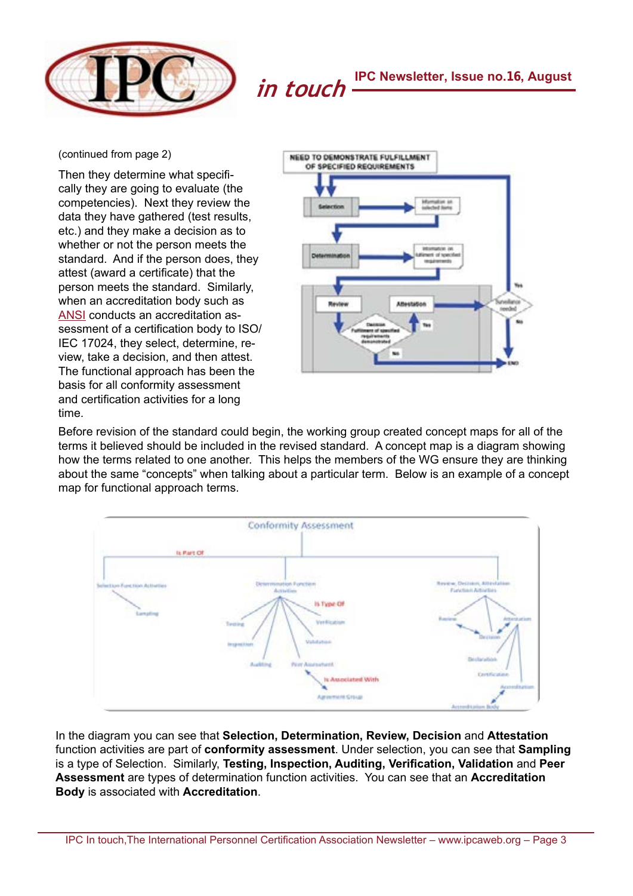

(continued from page 2)

Then they determine what specifically they are going to evaluate (the competencies). Next they review the data they have gathered (test results, etc.) and they make a decision as to whether or not the person meets the standard. And if the person does, they attest (award a certificate) that the person meets the standard. Similarly, when an accreditation body such as [ANSI](http://www.proftesting.com/blog/2015/07/15/2015713iso-ansi-iaf-standards-soup-making-sense-out-of-a-bunch-of-acronyms/) conducts an accreditation assessment of a certification body to ISO/ IEC 17024, they select, determine, review, take a decision, and then attest. The functional approach has been the basis for all conformity assessment and certification activities for a long time.



Before revision of the standard could begin, the working group created concept maps for all of the terms it believed should be included in the revised standard. A concept map is a diagram showing how the terms related to one another. This helps the members of the WG ensure they are thinking about the same "concepts" when talking about a particular term. Below is an example of a concept map for functional approach terms.



In the diagram you can see that **Selection, Determination, Review, Decision** and **Attestation** function activities are part of **conformity assessment**. Under selection, you can see that **Sampling** is a type of Selection. Similarly, **Testing, Inspection, Auditing, Verification, Validation** and **Peer Assessment** are types of determination function activities. You can see that an **Accreditation Body** is associated with **Accreditation**.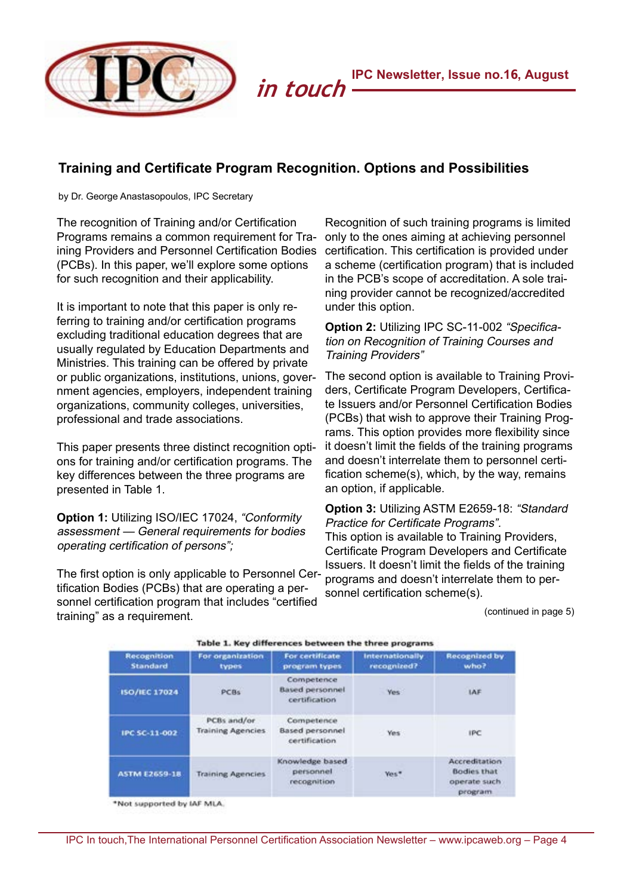

### <span id="page-3-0"></span>**Training and Certificate Program Recognition. Options and Possibilities**

by Dr. George Anastasopoulos, IPC Secretary

The recognition of Training and/or Certification Programs remains a common requirement for Training Providers and Personnel Certification Bodies (PCBs). In this paper, we'll explore some options for such recognition and their applicability.

It is important to note that this paper is only referring to training and/or certification programs excluding traditional education degrees that are usually regulated by Education Departments and Ministries. This training can be offered by private or public organizations, institutions, unions, government agencies, employers, independent training organizations, community colleges, universities, professional and trade associations.

This paper presents three distinct recognition options for training and/or certification programs. The key differences between the three programs are presented in Table 1.

**Option 1:** Utilizing ISO/IEC 17024, "Conformity assessment — General requirements for bodies operating certification of persons";

The first option is only applicable to Personnel Certification Bodies (PCBs) that are operating a personnel certification program that includes "certified training" as a requirement.

Recognition of such training programs is limited only to the ones aiming at achieving personnel certification. This certification is provided under a scheme (certification program) that is included in the PCB's scope of accreditation. A sole training provider cannot be recognized/accredited under this option.

### **Option 2:** Utilizing IPC SC-11-002 "Specification on Recognition of Training Courses and Training Providers"

The second option is available to Training Providers, Certificate Program Developers, Certificate Issuers and/or Personnel Certification Bodies (PCBs) that wish to approve their Training Programs. This option provides more flexibility since it doesn't limit the fields of the training programs and doesn't interrelate them to personnel certification scheme(s), which, by the way, remains an option, if applicable.

**Option 3:** Utilizing ASTM E2659-18: "Standard Practice for Certificate Programs". This option is available to Training Providers, Certificate Program Developers and Certificate Issuers. It doesn't limit the fields of the training programs and doesn't interrelate them to personnel certification scheme(s).

(continued in page 5)

| <b>Recognition</b><br><b>Standard</b> | For organization<br>types               | For certificate<br>program types                      | Internationally<br>recognized? | <b>Recognized by</b><br>who?                                    |
|---------------------------------------|-----------------------------------------|-------------------------------------------------------|--------------------------------|-----------------------------------------------------------------|
| ISO/IEC 17024                         | PCBs                                    | Competence<br><b>Based personnel</b><br>certification | <b>Yes</b>                     | IAF                                                             |
| IPC SC-11-002                         | PCBs and/or<br><b>Training Agencies</b> | Competence<br><b>Based personnel</b><br>certification | <b>Yes</b>                     | <b>IPC</b>                                                      |
| ASTM E2659-18                         | <b>Training Agencies</b>                | Knowledge based<br>personnel<br>recognition           | Ves*                           | Accreditation<br><b>Bodies that</b><br>operate such<br>program. |

\*Not supported by IAF MLA.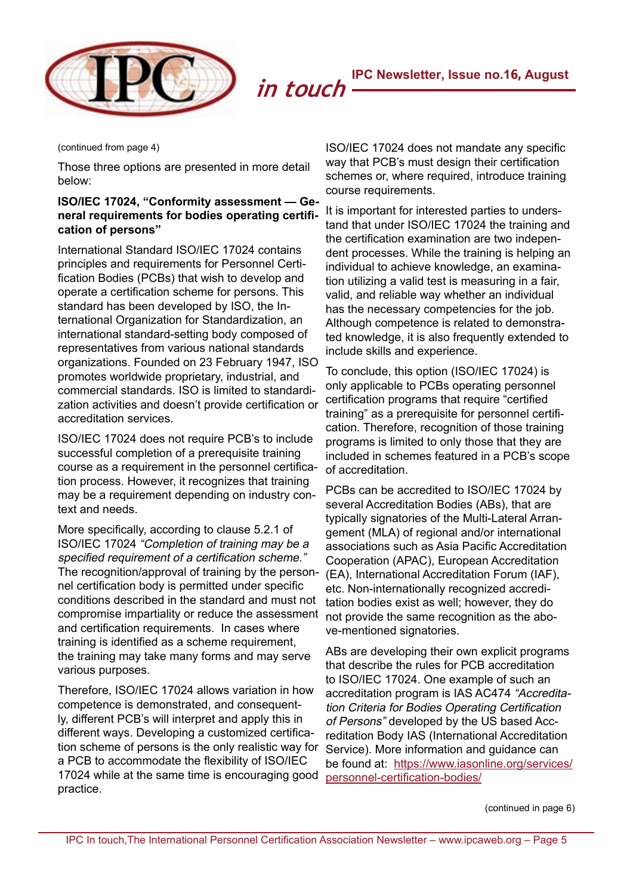

(continued from page 4)

Those three options are presented in more detail below:

### **ISO/IEC 17024, "Conformity assessment — General requirements for bodies operating certification of persons"**

International Standard ISO/IEC 17024 contains principles and requirements for Personnel Certification Bodies (PCBs) that wish to develop and operate a certification scheme for persons. This standard has been developed by ISO, the International Organization for Standardization, an international standard-setting body composed of representatives from various national standards organizations. Founded on 23 February 1947, ISO promotes worldwide proprietary, industrial, and commercial standards. ISO is limited to standardization activities and doesn't provide certification or accreditation services.

ISO/IEC 17024 does not require PCB's to include successful completion of a prerequisite training course as a requirement in the personnel certification process. However, it recognizes that training may be a requirement depending on industry context and needs.

More specifically, according to clause 5.2.1 of ISO/IEC 17024 "Completion of training may be a specified requirement of a certification scheme." The recognition/approval of training by the personnel certification body is permitted under specific conditions described in the standard and must not compromise impartiality or reduce the assessment and certification requirements. In cases where training is identified as a scheme requirement, the training may take many forms and may serve various purposes.

Therefore, ISO/IEC 17024 allows variation in how competence is demonstrated, and consequently, different PCB's will interpret and apply this in different ways. Developing a customized certification scheme of persons is the only realistic way for a PCB to accommodate the flexibility of ISO/IEC 17024 while at the same time is encouraging good practice.

ISO/IEC 17024 does not mandate any specific way that PCB's must design their certification schemes or, where required, introduce training course requirements.

It is important for interested parties to understand that under ISO/IEC 17024 the training and the certification examination are two independent processes. While the training is helping an individual to achieve knowledge, an examination utilizing a valid test is measuring in a fair, valid, and reliable way whether an individual has the necessary competencies for the job. Although competence is related to demonstrated knowledge, it is also frequently extended to include skills and experience.

To conclude, this option (ISO/IEC 17024) is only applicable to PCBs operating personnel certification programs that require "certified training" as a prerequisite for personnel certification. Therefore, recognition of those training programs is limited to only those that they are included in schemes featured in a PCB's scope of accreditation.

PCBs can be accredited to ISO/IEC 17024 by several Accreditation Bodies (ABs), that are typically signatories of the Multi-Lateral Arrangement (MLA) of regional and/or international associations such as Asia Pacific Accreditation Cooperation (APAC), European Accreditation (EA), International Accreditation Forum (IAF), etc. Non-internationally recognized accreditation bodies exist as well; however, they do not provide the same recognition as the above-mentioned signatories.

ABs are developing their own explicit programs that describe the rules for PCB accreditation to ISO/IEC 17024. One example of such an accreditation program is IAS AC474 "Accreditation Criteria for Bodies Operating Certification of Persons" developed by the US based Accreditation Body IAS (International Accreditation Service). More information and guidance can be found at: [https://www.iasonline.org/services/](http://www.iasonline.org/services/personnel-certification-bodies/) [personnel-certification-bodies/](http://www.iasonline.org/services/personnel-certification-bodies/)

(continued in page 6)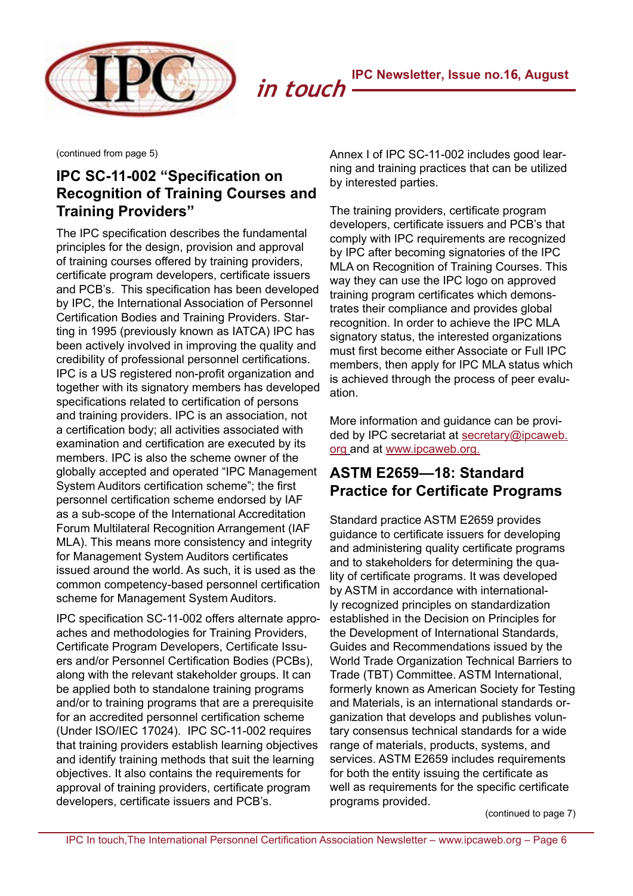

(continued from page 5)

# **IPC SC-11-002 "Specification on Recognition of Training Courses and Training Providers"**

The IPC specification describes the fundamental principles for the design, provision and approval of training courses offered by training providers, certificate program developers, certificate issuers and PCB's. This specification has been developed by IPC, the International Association of Personnel Certification Bodies and Training Providers. Starting in 1995 (previously known as IATCA) IPC has been actively involved in improving the quality and credibility of professional personnel certifications. IPC is a US registered non-profit organization and together with its signatory members has developed specifications related to certification of persons and training providers. IPC is an association, not a certification body; all activities associated with examination and certification are executed by its members. IPC is also the scheme owner of the globally accepted and operated "IPC Management System Auditors certification scheme"; the first personnel certification scheme endorsed by IAF as a sub-scope of the International Accreditation Forum Multilateral Recognition Arrangement (IAF MLA). This means more consistency and integrity for Management System Auditors certificates issued around the world. As such, it is used as the common competency-based personnel certification scheme for Management System Auditors.

IPC specification SC-11-002 offers alternate approaches and methodologies for Training Providers, Certificate Program Developers, Certificate Issuers and/or Personnel Certification Bodies (PCBs), along with the relevant stakeholder groups. It can be applied both to standalone training programs and/or to training programs that are a prerequisite for an accredited personnel certification scheme (Under ISO/IEC 17024). IPC SC-11-002 requires that training providers establish learning objectives and identify training methods that suit the learning objectives. It also contains the requirements for approval of training providers, certificate program developers, certificate issuers and PCB's.

Annex I of IPC SC-11-002 includes good learning and training practices that can be utilized by interested parties.

The training providers, certificate program developers, certificate issuers and PCB's that comply with IPC requirements are recognized by IPC after becoming signatories of the IPC MLA on Recognition of Training Courses. This way they can use the IPC logo on approved training program certificates which demonstrates their compliance and provides global recognition. In order to achieve the IPC MLA signatory status, the interested organizations must first become either Associate or Full IPC members, then apply for IPC MLA status which is achieved through the process of peer evaluation.

More information and guidance can be provided by IPC secretariat at secretary@ipcaweb. org and at [www.ipcaweb.org.](http://www.ipcaweb.org/)

# **ASTM E2659—18: Standard Practice for Certificate Programs**

Standard practice ASTM E2659 provides guidance to certificate issuers for developing and administering quality certificate programs and to stakeholders for determining the quality of certificate programs. It was developed by ASTM in accordance with internationally recognized principles on standardization established in the Decision on Principles for the Development of International Standards, Guides and Recommendations issued by the World Trade Organization Technical Barriers to Trade (TBT) Committee. ASTM International, formerly known as American Society for Testing and Materials, is an international standards organization that develops and publishes voluntary consensus technical standards for a wide range of materials, products, systems, and services. ASTM E2659 includes requirements for both the entity issuing the certificate as well as requirements for the specific certificate programs provided.

(continued to page 7)

 $\overline{a}$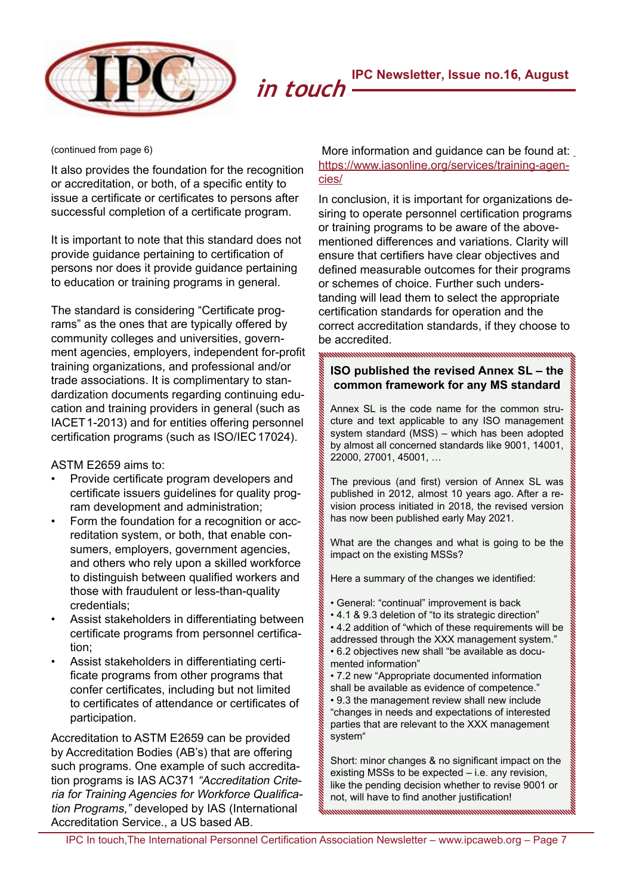

(continued from page 6)

It also provides the foundation for the recognition or accreditation, or both, of a specific entity to issue a certificate or certificates to persons after successful completion of a certificate program.

It is important to note that this standard does not provide guidance pertaining to certification of persons nor does it provide guidance pertaining to education or training programs in general.

The standard is considering "Certificate programs" as the ones that are typically offered by community colleges and universities, government agencies, employers, independent for-profit training organizations, and professional and/or trade associations. It is complimentary to standardization documents regarding continuing education and training providers in general (such as IACET 1-2013) and for entities offering personnel certification programs (such as ISO/IEC 17024).

ASTM E2659 aims to:

- Provide certificate program developers and certificate issuers guidelines for quality program development and administration;
- Form the foundation for a recognition or accreditation system, or both, that enable consumers, employers, government agencies, and others who rely upon a skilled workforce to distinguish between qualified workers and those with fraudulent or less-than-quality credentials;
- Assist stakeholders in differentiating between certificate programs from personnel certification;
- Assist stakeholders in differentiating certificate programs from other programs that confer certificates, including but not limited to certificates of attendance or certificates of participation.

Accreditation to ASTM E2659 can be provided by Accreditation Bodies (AB's) that are offering such programs. One example of such accreditation programs is IAS AC371 "Accreditation Criteria for Training Agencies for Workforce Qualification Programs," developed by IAS (International Accreditation Service., a US based AB.

### More information and guidance can be found at: [https://www.iasonline.org/services/training-agen](http://www.iasonline.org/services/training-agencies/)[cies/](http://www.iasonline.org/services/training-agencies/)

In conclusion, it is important for organizations desiring to operate personnel certification programs or training programs to be aware of the abovementioned differences and variations. Clarity will ensure that certifiers have clear objectives and defined measurable outcomes for their programs or schemes of choice. Further such understanding will lead them to select the appropriate certification standards for operation and the correct accreditation standards, if they choose to be accredited.

### <span id="page-6-0"></span>**ISO published the revised Annex SL – the common framework for any MS standard**

Annex SL is the code name for the common structure and text applicable to any ISO management system standard (MSS) – which has been adopted by almost all concerned standards like 9001, 14001, 22000, 27001, 45001, …

The previous (and first) version of Annex SL was published in 2012, almost 10 years ago. After a revision process initiated in 2018, the revised version has now been published early May 2021.

What are the changes and what is going to be the impact on the existing MSSs?

Here a summary of the changes we identified:

- General: "continual" improvement is back
- 4.1 & 9.3 deletion of "to its strategic direction"
- 4.2 addition of "which of these requirements will be addressed through the XXX management system."
- 6.2 objectives new shall "be available as documented information"
- 7.2 new "Appropriate documented information
- shall be available as evidence of competence." • 9.3 the management review shall new include "changes in needs and expectations of interested parties that are relevant to the XXX management system"

Short: minor changes & no significant impact on the existing MSSs to be expected – i.e. any revision, like the pending decision whether to revise 9001 or not, will have to find another justification!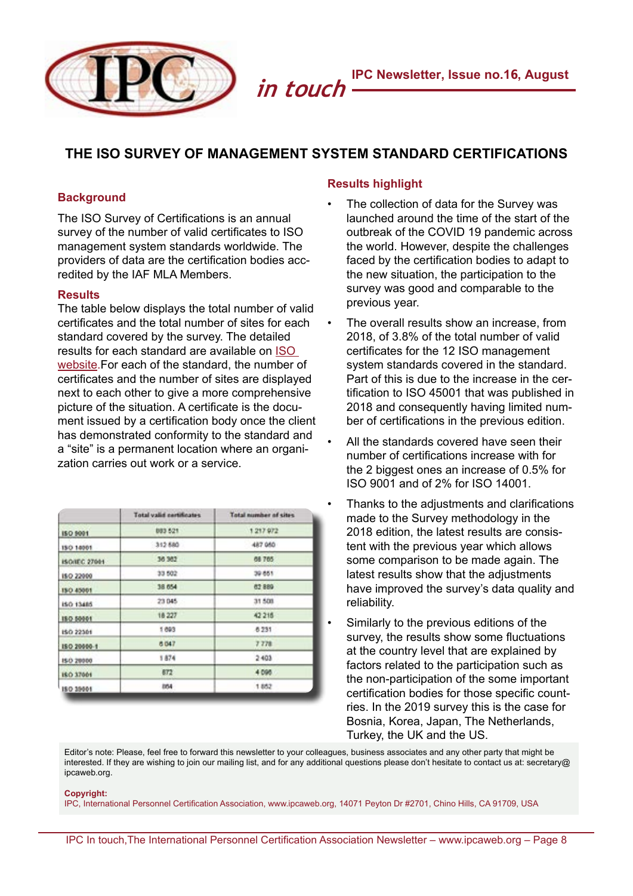

# <span id="page-7-0"></span>**THE ISO SURVEY OF MANAGEMENT SYSTEM STANDARD CERTIFICATIONS**

### **Background**

The ISO Survey of Certifications is an annual survey of the number of valid certificates to ISO management system standards worldwide. The providers of data are the certification bodies accredited by the IAF MLA Members.

### **Results**

The table below displays the total number of valid certificates and the total number of sites for each standard covered by the survey. The detailed results for each standard are available on [ISO](http://www.iso.org/the-iso-survey.html)  [website.](http://www.iso.org/the-iso-survey.html)For each of the standard, the number of certificates and the number of sites are displayed next to each other to give a more comprehensive picture of the situation. A certificate is the document issued by a certification body once the client has demonstrated conformity to the standard and a "site" is a permanent location where an organization carries out work or a service.

|                  | Total valid certificates | Total number of sites |
|------------------|--------------------------|-----------------------|
| ISO 9001         | 883 521                  | 1217972               |
| 150 14001        | 312 580                  | 487 950               |
| ISO/IEC 27001    | 36 362                   | 68 765                |
| <b>ISO 22000</b> | 33 502                   | 39 851                |
| 150 45001        | 38 654                   | 62889                 |
| ISO 13485        | 23 045                   | 31,508                |
| 180 50001        | 18 227                   | 42 215                |
| ISO 22501        | 1.893                    | 6.231                 |
| 180 20000-1      | 6 047                    | 7 778                 |
| 150 20000        | 1874                     | 2403                  |
| <b>ISO 37661</b> | 872                      | 4 09 6                |
| 180 39001        | 864                      | 1852                  |

### **Results highlight**

- The collection of data for the Survey was launched around the time of the start of the outbreak of the COVID 19 pandemic across the world. However, despite the challenges faced by the certification bodies to adapt to the new situation, the participation to the survey was good and comparable to the previous year.
- The overall results show an increase, from 2018, of 3.8% of the total number of valid certificates for the 12 ISO management system standards covered in the standard. Part of this is due to the increase in the certification to ISO 45001 that was published in 2018 and consequently having limited number of certifications in the previous edition.
- All the standards covered have seen their number of certifications increase with for the 2 biggest ones an increase of 0.5% for ISO 9001 and of 2% for ISO 14001.
- Thanks to the adjustments and clarifications made to the Survey methodology in the 2018 edition, the latest results are consistent with the previous year which allows some comparison to be made again. The latest results show that the adjustments have improved the survey's data quality and reliability.
- Similarly to the previous editions of the survey, the results show some fluctuations at the country level that are explained by factors related to the participation such as the non-participation of the some important certification bodies for those specific countries. In the 2019 survey this is the case for Bosnia, Korea, Japan, The Netherlands, Turkey, the UK and the US.

Editor's note: Please, feel free to forward this newsletter to your colleagues, business associates and any other party that might be interested. If they are wishing to join our mailing list, and for any additional questions please don't hesitate to contact us at: secretary@ ipcaweb.org.

### **Copyright:**

IPC, International Personnel Certification Association, www.ipcaweb.org, 14071 Peyton Dr #2701, Chino Hills, CA 91709, USA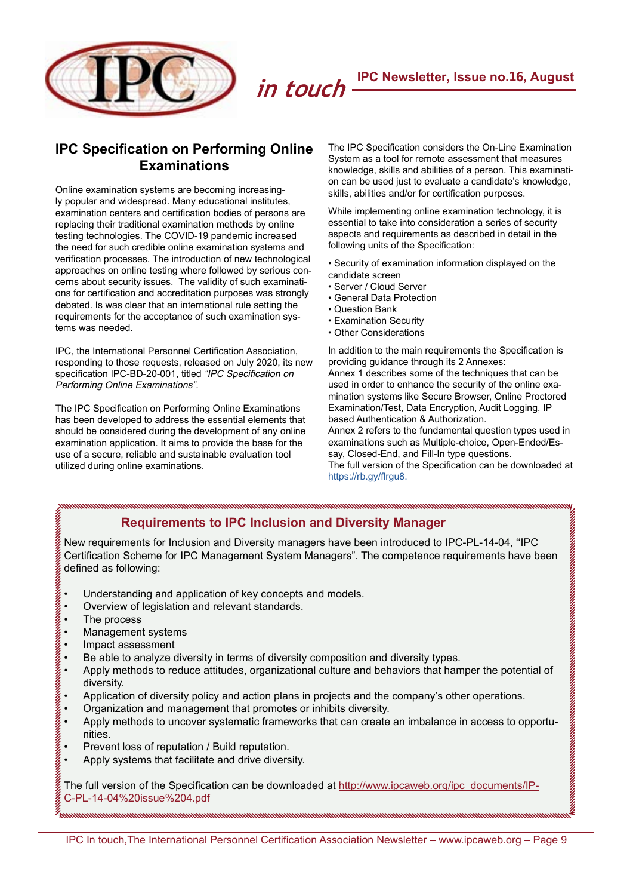**IPC Newsletter, Issue no.16, August**



## **IPC Specification on Performing Online Examinations**

Online examination systems are becoming increasingly popular and widespread. Many educational institutes, examination centers and certification bodies of persons are replacing their traditional examination methods by online testing technologies. The COVID-19 pandemic increased the need for such credible online examination systems and verification processes. The introduction of new technological approaches on online testing where followed by serious concerns about security issues. The validity of such examinations for certification and accreditation purposes was strongly debated. Is was clear that an international rule setting the requirements for the acceptance of such examination systems was needed.

IPC, the International Personnel Certification Association, responding to those requests, released on July 2020, its new specification IPC-BD-20-001, titled "IPC Specification on Performing Online Examinations".

The IPC Specification on Performing Online Examinations has been developed to address the essential elements that should be considered during the development of any online examination application. It aims to provide the base for the use of a secure, reliable and sustainable evaluation tool utilized during online examinations.

The IPC Specification considers the On-Line Examination System as a tool for remote assessment that measures knowledge, skills and abilities of a person. This examination can be used just to evaluate a candidate's knowledge, skills, abilities and/or for certification purposes.

While implementing online examination technology, it is essential to take into consideration a series of security aspects and requirements as described in detail in the following units of the Specification:

• Security of examination information displayed on the candidate screen

- Server / Cloud Server
- General Data Protection
- Question Bank
- Examination Security
- Other Considerations

In addition to the main requirements the Specification is providing guidance through its 2 Annexes: Annex 1 describes some of the techniques that can be used in order to enhance the security of the online examination systems like Secure Browser, Online Proctored Examination/Test, Data Encryption, Audit Logging, IP based Authentication & Authorization. Annex 2 refers to the fundamental question types used in examinations such as Multiple-choice, Open-Ended/Essay, Closed-End, and Fill-In type questions. The full version of the Specification can be downloaded at [https://rb.gy/flrgu8.](http://ipcaweb.org/ipc_documents/IPC-BD-20-001_Performing_Online_Examinations.pdf?fbclid=IwAR1_CAbsuTDDWbq57lPiUZ38uVOFaAySdYcJG738qW00Dmqilar8uBAQ4RI&wdLOR=cEDEA3888-5934-DF41-91A3-0F2B73BD8937)

# <span id="page-8-0"></span> $\frac{1}{2} \left( \frac{1}{2} \left( \frac{1}{2} \left( \frac{1}{2} \left( \frac{1}{2} \right) + \frac{1}{2} \left( \frac{1}{2} \left( \frac{1}{2} \right) + \frac{1}{2} \left( \frac{1}{2} \right) + \frac{1}{2} \left( \frac{1}{2} \right) + \frac{1}{2} \left( \frac{1}{2} \right) + \frac{1}{2} \left( \frac{1}{2} \right) + \frac{1}{2} \left( \frac{1}{2} \right) + \frac{1}{2} \left( \frac{1}{2} \right) + \frac{1}{2} \left( \frac$ **[Requirements to IPC Inclusion and Diversity Manager](#page-8-0)**

New requirements for Inclusion and Diversity managers have been introduced to IPC-PL-14-04, ''IPC Certification Scheme for IPC Management System Managers". The competence requirements have been defined as following:

*in touch*

- Understanding and application of key concepts and models.
- Overview of legislation and relevant standards.
- The process
- Management systems
- Impact assessment<br>• Be able to analyze of
- Be able to analyze diversity in terms of diversity composition and diversity types.<br>• Apply methods to reduce attitudes organizational culture and behaviors that ham
- Apply methods to reduce attitudes, organizational culture and behaviors that hamper the potential of diversity.
- Application of diversity policy and action plans in projects and the company's other operations.
- Organization and management that promotes or inhibits diversity.
- Apply methods to uncover systematic frameworks that can create an imbalance in access to opportunities.
- Prevent loss of reputation / Build reputation.
- Apply systems that facilitate and drive diversity.

The full version of the Specification can be downloaded at [http://www.ipcaweb.org/ipc\\_documents/IP-](http://www.ipcaweb.org/ipc_documents/IPC-PL-14-04%20issue%204.pdf)[C-PL-14-04%20issue%204.pdf](http://www.ipcaweb.org/ipc_documents/IPC-PL-14-04%20issue%204.pdf)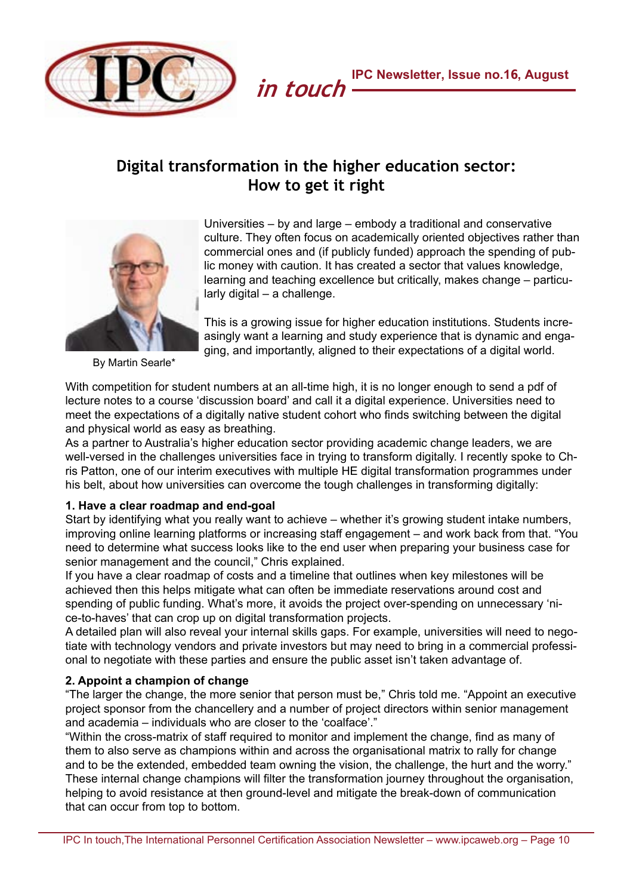

# <span id="page-9-0"></span>**Digital transformation in the higher education sector: How to get it right**



Universities – by and large – embody a traditional and conservative culture. They often focus on academically oriented objectives rather than commercial ones and (if publicly funded) approach the spending of public money with caution. It has created a sector that values knowledge, learning and teaching excellence but critically, makes change – particularly digital – a challenge.

This is a growing issue for higher education institutions. Students increasingly want a learning and study experience that is dynamic and engaging, and importantly, aligned to their expectations of a digital world.

By Martin Searle\*

With competition for student numbers at an all-time high, it is no longer enough to send a pdf of lecture notes to a course 'discussion board' and call it a digital experience. Universities need to meet the expectations of a digitally native student cohort who finds switching between the digital and physical world as easy as breathing.

As a partner to Australia's higher education sector providing academic change leaders, we are well-versed in the challenges universities face in trying to transform digitally. I recently spoke to Chris Patton, one of our interim executives with multiple HE digital transformation programmes under his belt, about how universities can overcome the tough challenges in transforming digitally:

### **1. Have a clear roadmap and end-goal**

Start by identifying what you really want to achieve – whether it's growing student intake numbers, improving online learning platforms or increasing staff engagement – and work back from that. "You need to determine what success looks like to the end user when preparing your business case for senior management and the council," Chris explained.

If you have a clear roadmap of costs and a timeline that outlines when key milestones will be achieved then this helps mitigate what can often be immediate reservations around cost and spending of public funding. What's more, it avoids the project over-spending on unnecessary 'nice-to-haves' that can crop up on digital transformation projects.

A detailed plan will also reveal your internal skills gaps. For example, universities will need to negotiate with technology vendors and private investors but may need to bring in a commercial professional to negotiate with these parties and ensure the public asset isn't taken advantage of.

### **2. Appoint a champion of change**

"The larger the change, the more senior that person must be," Chris told me. "Appoint an executive project sponsor from the chancellery and a number of project directors within senior management and academia – individuals who are closer to the 'coalface'."

"Within the cross-matrix of staff required to monitor and implement the change, find as many of them to also serve as champions within and across the organisational matrix to rally for change and to be the extended, embedded team owning the vision, the challenge, the hurt and the worry." These internal change champions will filter the transformation journey throughout the organisation, helping to avoid resistance at then ground-level and mitigate the break-down of communication that can occur from top to bottom.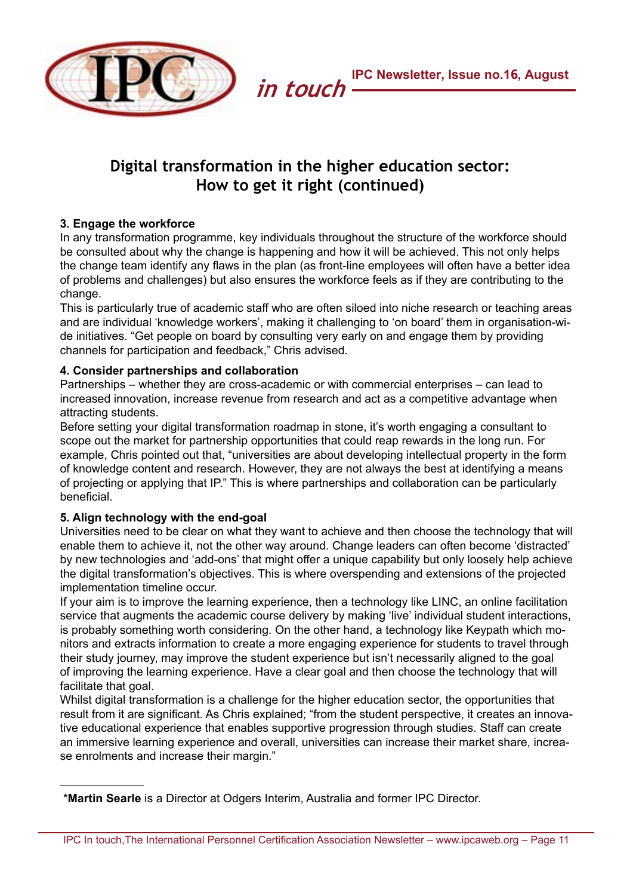

# **Digital transformation in the higher education sector: How to get it right (continued)**

### **3. Engage the workforce**

In any transformation programme, key individuals throughout the structure of the workforce should be consulted about why the change is happening and how it will be achieved. This not only helps the change team identify any flaws in the plan (as front-line employees will often have a better idea of problems and challenges) but also ensures the workforce feels as if they are contributing to the change.

This is particularly true of academic staff who are often siloed into niche research or teaching areas and are individual 'knowledge workers', making it challenging to 'on board' them in organisation-wide initiatives. "Get people on board by consulting very early on and engage them by providing channels for participation and feedback," Chris advised.

### **4. Consider partnerships and collaboration**

Partnerships – whether they are cross-academic or with commercial enterprises – can lead to increased innovation, increase revenue from research and act as a competitive advantage when attracting students.

Before setting your digital transformation roadmap in stone, it's worth engaging a consultant to scope out the market for partnership opportunities that could reap rewards in the long run. For example, Chris pointed out that, "universities are about developing intellectual property in the form of knowledge content and research. However, they are not always the best at identifying a means of projecting or applying that IP." This is where partnerships and collaboration can be particularly beneficial.

### **5. Align technology with the end-goal**

Universities need to be clear on what they want to achieve and then choose the technology that will enable them to achieve it, not the other way around. Change leaders can often become 'distracted' by new technologies and 'add-ons' that might offer a unique capability but only loosely help achieve the digital transformation's objectives. This is where overspending and extensions of the projected implementation timeline occur.

If your aim is to improve the learning experience, then a technology like LINC, an online facilitation service that augments the academic course delivery by making 'live' individual student interactions, is probably something worth considering. On the other hand, a technology like Keypath which monitors and extracts information to create a more engaging experience for students to travel through their study journey, may improve the student experience but isn't necessarily aligned to the goal of improving the learning experience. Have a clear goal and then choose the technology that will facilitate that goal.

Whilst digital transformation is a challenge for the higher education sector, the opportunities that result from it are significant. As Chris explained; "from the student perspective, it creates an innovative educational experience that enables supportive progression through studies. Staff can create an immersive learning experience and overall, universities can increase their market share, increase enrolments and increase their margin."

\***Martin Searle** is a Director at Odgers Interim, Australia and former IPC Director.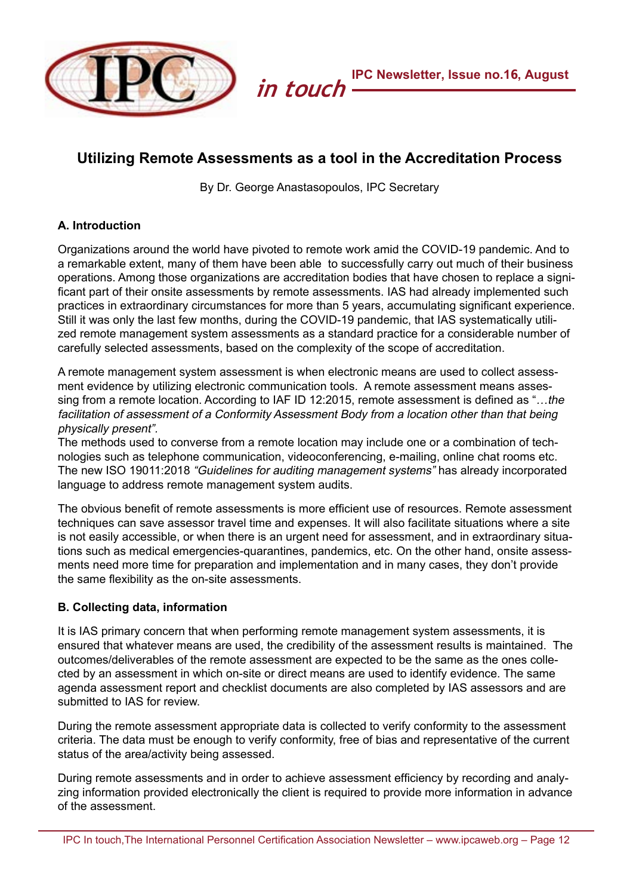

# <span id="page-11-0"></span>**Utilizing Remote Assessments as a tool in the Accreditation Process**

By Dr. George Anastasopoulos, IPC Secretary

### **A. Introduction**

Organizations around the world have pivoted to remote work amid the COVID-19 pandemic. And to a remarkable extent, many of them have been able to successfully carry out much of their business operations. Among those organizations are accreditation bodies that have chosen to replace a significant part of their onsite assessments by remote assessments. IAS had already implemented such practices in extraordinary circumstances for more than 5 years, accumulating significant experience. Still it was only the last few months, during the COVID-19 pandemic, that IAS systematically utilized remote management system assessments as a standard practice for a considerable number of carefully selected assessments, based on the complexity of the scope of accreditation.

A remote management system assessment is when electronic means are used to collect assessment evidence by utilizing electronic communication tools. A remote assessment means assessing from a remote location. According to IAF ID 12:2015, remote assessment is defined as "...the facilitation of assessment of a Conformity Assessment Body from a location other than that being physically present".

The methods used to converse from a remote location may include one or a combination of technologies such as telephone communication, videoconferencing, e-mailing, online chat rooms etc. The new ISO 19011:2018 "Guidelines for auditing management systems" has already incorporated language to address remote management system audits.

The obvious benefit of remote assessments is more efficient use of resources. Remote assessment techniques can save assessor travel time and expenses. It will also facilitate situations where a site is not easily accessible, or when there is an urgent need for assessment, and in extraordinary situations such as medical emergencies-quarantines, pandemics, etc. On the other hand, onsite assessments need more time for preparation and implementation and in many cases, they don't provide the same flexibility as the on-site assessments.

### **B. Collecting data, information**

It is IAS primary concern that when performing remote management system assessments, it is ensured that whatever means are used, the credibility of the assessment results is maintained. The outcomes/deliverables of the remote assessment are expected to be the same as the ones collected by an assessment in which on-site or direct means are used to identify evidence. The same agenda assessment report and checklist documents are also completed by IAS assessors and are submitted to IAS for review.

During the remote assessment appropriate data is collected to verify conformity to the assessment criteria. The data must be enough to verify conformity, free of bias and representative of the current status of the area/activity being assessed.

During remote assessments and in order to achieve assessment efficiency by recording and analyzing information provided electronically the client is required to provide more information in advance of the assessment.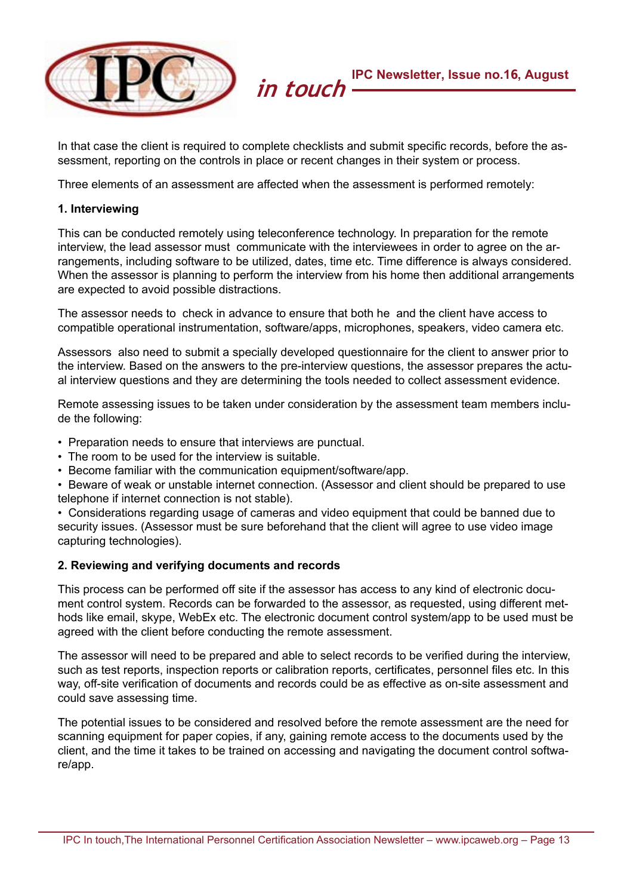

In that case the client is required to complete checklists and submit specific records, before the assessment, reporting on the controls in place or recent changes in their system or process.

Three elements of an assessment are affected when the assessment is performed remotely:

### **1. Interviewing**

This can be conducted remotely using teleconference technology. In preparation for the remote interview, the lead assessor must communicate with the interviewees in order to agree on the arrangements, including software to be utilized, dates, time etc. Time difference is always considered. When the assessor is planning to perform the interview from his home then additional arrangements are expected to avoid possible distractions.

The assessor needs to check in advance to ensure that both he and the client have access to compatible operational instrumentation, software/apps, microphones, speakers, video camera etc.

Assessors also need to submit a specially developed questionnaire for the client to answer prior to the interview. Based on the answers to the pre-interview questions, the assessor prepares the actual interview questions and they are determining the tools needed to collect assessment evidence.

Remote assessing issues to be taken under consideration by the assessment team members include the following:

- Preparation needs to ensure that interviews are punctual.
- The room to be used for the interview is suitable.
- Become familiar with the communication equipment/software/app.
- Beware of weak or unstable internet connection. (Assessor and client should be prepared to use telephone if internet connection is not stable).

• Considerations regarding usage of cameras and video equipment that could be banned due to security issues. (Assessor must be sure beforehand that the client will agree to use video image capturing technologies).

### **2. Reviewing and verifying documents and records**

This process can be performed off site if the assessor has access to any kind of electronic document control system. Records can be forwarded to the assessor, as requested, using different methods like email, skype, WebEx etc. The electronic document control system/app to be used must be agreed with the client before conducting the remote assessment.

The assessor will need to be prepared and able to select records to be verified during the interview, such as test reports, inspection reports or calibration reports, certificates, personnel files etc. In this way, off-site verification of documents and records could be as effective as on-site assessment and could save assessing time.

The potential issues to be considered and resolved before the remote assessment are the need for scanning equipment for paper copies, if any, gaining remote access to the documents used by the client, and the time it takes to be trained on accessing and navigating the document control software/app.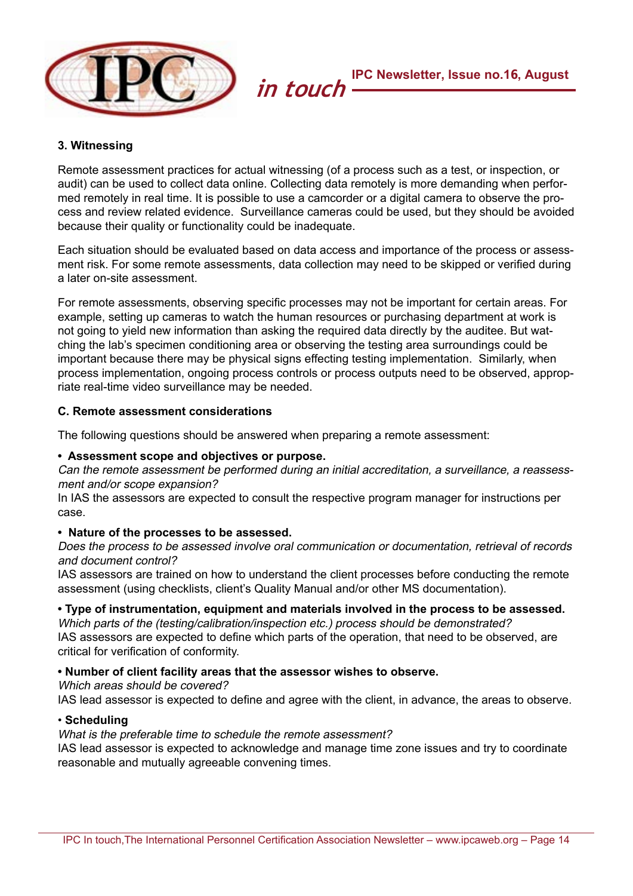

### **3. Witnessing**

Remote assessment practices for actual witnessing (of a process such as a test, or inspection, or audit) can be used to collect data online. Collecting data remotely is more demanding when performed remotely in real time. It is possible to use a camcorder or a digital camera to observe the process and review related evidence. Surveillance cameras could be used, but they should be avoided because their quality or functionality could be inadequate.

Each situation should be evaluated based on data access and importance of the process or assessment risk. For some remote assessments, data collection may need to be skipped or verified during a later on-site assessment.

For remote assessments, observing specific processes may not be important for certain areas. For example, setting up cameras to watch the human resources or purchasing department at work is not going to yield new information than asking the required data directly by the auditee. But watching the lab's specimen conditioning area or observing the testing area surroundings could be important because there may be physical signs effecting testing implementation. Similarly, when process implementation, ongoing process controls or process outputs need to be observed, appropriate real-time video surveillance may be needed.

### **C. Remote assessment considerations**

The following questions should be answered when preparing a remote assessment:

### **• Assessment scope and objectives or purpose.**

Can the remote assessment be performed during an initial accreditation, a surveillance, a reassessment and/or scope expansion?

In IAS the assessors are expected to consult the respective program manager for instructions per case.

### **• Nature of the processes to be assessed.**

Does the process to be assessed involve oral communication or documentation, retrieval of records and document control?

IAS assessors are trained on how to understand the client processes before conducting the remote assessment (using checklists, client's Quality Manual and/or other MS documentation).

### **• Type of instrumentation, equipment and materials involved in the process to be assessed.**

Which parts of the (testing/calibration/inspection etc.) process should be demonstrated? IAS assessors are expected to define which parts of the operation, that need to be observed, are critical for verification of conformity.

### **• Number of client facility areas that the assessor wishes to observe.**

Which areas should be covered?

IAS lead assessor is expected to define and agree with the client, in advance, the areas to observe.

### • **Scheduling**

### What is the preferable time to schedule the remote assessment?

IAS lead assessor is expected to acknowledge and manage time zone issues and try to coordinate reasonable and mutually agreeable convening times.